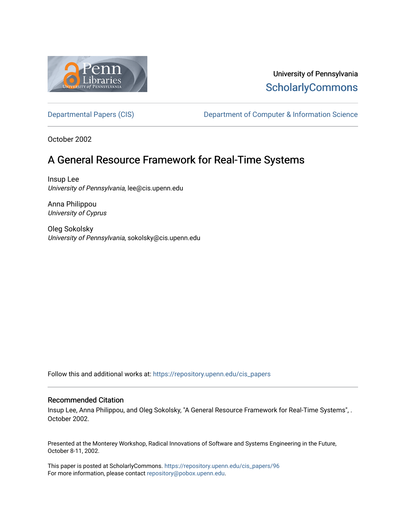

# University of Pennsylvania **ScholarlyCommons**

[Departmental Papers \(CIS\)](https://repository.upenn.edu/cis_papers) Department of Computer & Information Science

October 2002

# A General Resource Framework for Real-Time Systems

Insup Lee University of Pennsylvania, lee@cis.upenn.edu

Anna Philippou University of Cyprus

Oleg Sokolsky University of Pennsylvania, sokolsky@cis.upenn.edu

Follow this and additional works at: [https://repository.upenn.edu/cis\\_papers](https://repository.upenn.edu/cis_papers?utm_source=repository.upenn.edu%2Fcis_papers%2F96&utm_medium=PDF&utm_campaign=PDFCoverPages)

## Recommended Citation

Insup Lee, Anna Philippou, and Oleg Sokolsky, "A General Resource Framework for Real-Time Systems", . October 2002.

Presented at the Monterey Workshop, Radical Innovations of Software and Systems Engineering in the Future, October 8-11, 2002.

This paper is posted at ScholarlyCommons. [https://repository.upenn.edu/cis\\_papers/96](https://repository.upenn.edu/cis_papers/96)  For more information, please contact [repository@pobox.upenn.edu.](mailto:repository@pobox.upenn.edu)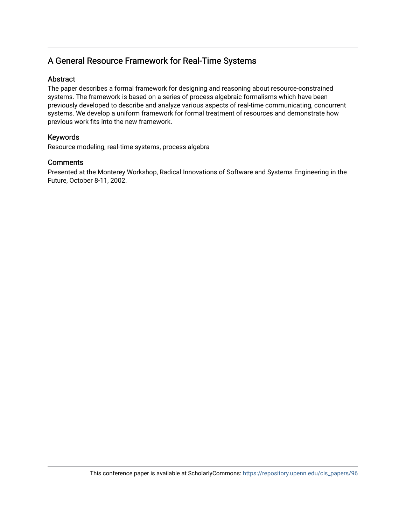# A General Resource Framework for Real-Time Systems

# **Abstract**

The paper describes a formal framework for designing and reasoning about resource-constrained systems. The framework is based on a series of process algebraic formalisms which have been previously developed to describe and analyze various aspects of real-time communicating, concurrent systems. We develop a uniform framework for formal treatment of resources and demonstrate how previous work fits into the new framework.

# Keywords

Resource modeling, real-time systems, process algebra

# **Comments**

Presented at the Monterey Workshop, Radical Innovations of Software and Systems Engineering in the Future, October 8-11, 2002.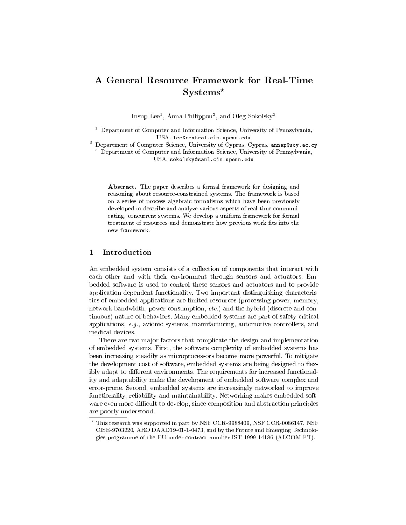# A General Resource Framework for Real-Time Systems?

Insup Lee<sup>1</sup> , Anna Philippou<sup>2</sup> , and Oleg Sokolsky<sup>3</sup>

<sup>1</sup> Department of Computer and Information Science, University of Pennsylvania, USA. lee@central.cis.upenn.edu

<sup>2</sup> Department of Computer Science, University of Cyprus, Cyprus. annap@ucy.ac.cy

<sup>3</sup> Department of Computer and Information Science, University of Pennsylvania, USA. sokolsky@saul.cis.upenn.edu

Abstract. The paper describes a formal framework for designing and reasoning about resource-constrained systems. The framework is based on a series of process algebraic formalisms which have been previously developed to describe and analyze various aspects of real-time communicating, concurrent systems. We develop a uniform framework for formal treatment of resources and demonstrate how previous work fits into the new framework.

## <sup>1</sup> Introduction

An embedded system consists of a collection of components that interact with each other and with their environment through sensors and actuators. Embedded software is used to control these sensors and actuators and to provide application-dependent functionality. Two important distinguishing characteristics of embedded applications are limited resources (processing power, memory, network bandwidth, power consumption, etc.) and the hybrid (discrete and continuous) nature of behaviors. Many embedded systems are part of safety-critical applications, e.g., avionic systems, manufacturing, automotive controllers, and medical devices.

There are two major factors that complicate the design and implementation of embedded systems. First, the software complexity of embedded systems has been increasing steadily as microprocessors become more powerful. To mitigate the development cost of software, embedded systems are being designed to flexibly adapt to different environments. The requirements for increased functionality and adaptability make the development of embedded software complex and error-prone. Second, embedded systems are increasingly networked to improve functionality, reliability and maintainability. Networking makes embedded soft ware even more difficult to develop, since composition and abstraction principles are poorly understood.

<sup>?</sup> This research was supported in part by NSF CCR-9988409, NSF CCR-0086147, NSF CISE-9703220, ARO DAAD19-01-1-0473, and by the Future and Emerging Technologies programme of the EU under contract number IST-1999-14186 (ALCOM-FT).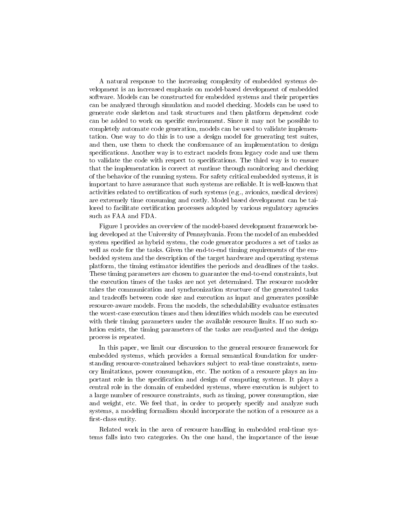A natural response to the increasing complexity of embedded systems de velopment is an increased emphasis on model-based development of embedded software. Models can be constructed for embedded systems and their properties can be analyzed through simulation and model checking. Models can be used to generate code skeleton and task structures and then platform dependent code can be added to work on specific environment. Since it may not be possible to completely automate code generation, models can be used to validate implementation. One way to do this is to use a design model for generating test suites, and then, use them to check the conformance of an implementation to design specifications. Another way is to extract models from legacy code and use them to validate the code with respect to specications. The third way is to ensure that the implementation is correct at runtime through monitoring and checking of the behavior of the running system. For safety critical embedded systems, it is important to have assurance that such systems are reliable. It is well-known that activities related to certification of such systems (e.g., avionics, medical devices) are extremely time consuming and costly. Model based development can be tailored to facilitate certification processes adopted by various regulatory agencies such as FAA and FDA.

Figure 1 provides an overview of the model-based development framework being developed at the University of Pennsylvania. From the model of an embedded system specied as hybrid system, the code generator produces a set of tasks as well as code for the tasks. Given the end-to-end timing requirements of the embedded system and the description of the target hardware and operating systems platform, the timing estimator identifies the periods and deadlines of the tasks. These timing parameters are chosen to guarantee the end-to-end constraints, but the execution times of the tasks are not yet determined. The resource modeler takes the communication and synchronization structure of the generated tasks and tradeoffs between code size and execution as input and generates possible resource-aware models. From the models, the schedulability evaluator estimates the worst-case execution times and then identies which models can be executed with their timing parameters under the available resource limits. If no such solution exists, the timing parameters of the tasks are readjusted and the design process is repeated.

In this paper, we limit our discussion to the general resource framework for embedded systems, which provides a formal semantical foundation for understanding resource-constrained behaviors sub ject to real-time constraints, memory limitations, power consumption, etc. The notion of a resource plays an important role in the specication and design of computing systems. It plays a central role in the domain of embedded systems, where execution is sub ject to a large number of resource constraints, such as timing, power consumption, size and weight, etc. We feel that, in order to properly specify and analyze such systems, a modeling formalism should incorporate the notion of a resource as a first-class entity.

Related work in the area of resource handling in embedded real-time systems falls into two categories. On the one hand, the importance of the issue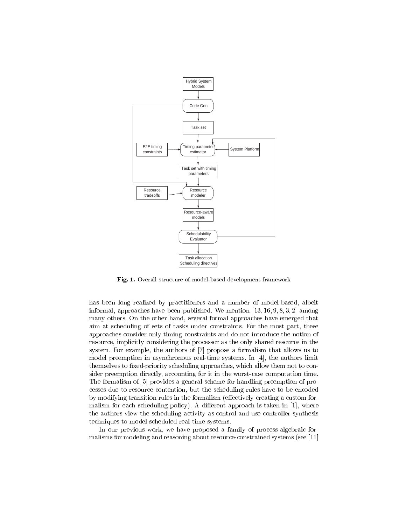

Fig. 1. Overall structure of model-based development framework

has been long realized by practitioners and a number of model-based, albeit informal, approaches have been published. We mention [13, 16, 9, 8, 3, 2] among many others. On the other hand, several formal approaches have emerged that aim at scheduling of sets of tasks under constraints. For the most part, these approaches consider only timing constraints and do not introduce the notion of resource, implicitly considering the processor as the only shared resource in the system. For example, the authors of [7] propose a formalism that allows us to model preemption in asynchronous real-time systems. In [4], the authors limit themselves to fixed-priority scheduling approaches, which allow them not to consider preemption directly, accounting for it in the worst-case computation time. The formalism of [5] provides a general scheme for handling preemption of processes due to resource contention, but the scheduling rules have to be encoded by modifying transition rules in the formalism (effectively creating a custom formalism for each scheduling policy). A different approach is taken in  $[1]$ , where the authors view the scheduling activity as control and use controller synthesis techniques to model scheduled real-time systems.

In our previous work, we have proposed a family of process-algebraic formalisms for modeling and reasoning about resource-constrained systems (see [11]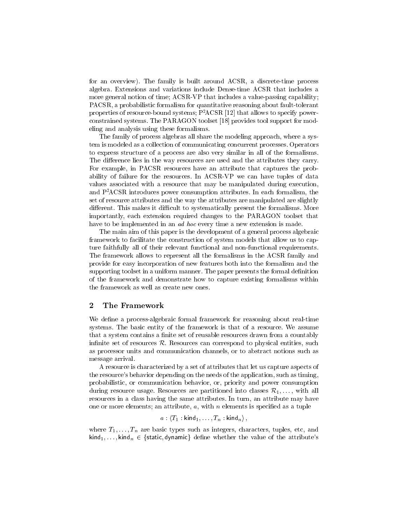for an overview). The family is built around ACSR, a discrete-time process algebra. Extensions and variations include Dense-time ACSR that includes a more general notion of time; ACSR-VP that includes a value-passing capability; PACSR, a probabilistic formalism for quantitative reasoning about fault-tolerant properties of resource-bound systems; P2ACSR [12] that allows to specify powerconstrained systems. The PARAGON toolset [18] provides tool support for modeling and analysis using these formalisms.

The family of process algebras all share the modeling approach, where a system is modeled as a collection of communicating concurrent processes. Operators to express structure of a process are also very similar in all of the formalisms. The difference lies in the way resources are used and the attributes they carry. For example, in PACSR resources have an attribute that captures the probability of failure for the resources. In ACSR-VP we can have tuples of data values associated with a resource that may be manipulated during execution, and  $P<sup>2</sup>ACSR$  introduces power consumption attributes. In each formalism, the set of resource attributes and the way the attributes are manipulated are slightly different. This makes it difficult to systematically present the formalisms. More importantly, each extension required changes to the PARAGON toolset that have to be implemented in an *ad hoc* every time a new extension is made.

The main aim of this paper is the development of a general process algebraic framework to facilitate the construction of system models that allow us to capture faithfully all of their relevant functional and non-functional requirements. The framework allows to represent all the formalisms in the ACSR family and provide for easy incorporation of new features both into the formalism and the supporting toolset in a uniform manner. The paper presents the formal definition of the framework and demonstrate how to capture existing formalisms within the framework as well as create new ones.

#### <sup>2</sup> The Framework

We define a process-algebraic formal framework for reasoning about real-time systems. The basic entity of the framework is that of a resource. We assume that a system contains a finite set of reusable resources drawn from a countably infinite set of resources  $R$ . Resources can correspond to physical entities, such as processor units and communication channels, or to abstract notions such as message arrival.

A resource is characterized by a set of attributes that let us capture aspects of the resource's behavior depending on the needs of the application, such as timing, probabilistic, or communication behavior, or, priority and power consumption during resource usage. Resources are partitioned into classes  $\mathcal{R}_1,\ldots$ , with all resources in a class having the same attributes. In turn, an attribute may have one or more elements; an attribute,  $a$ , with  $n$  elements is specified as a tuple

$$
a:\left\langle T_1:\mathsf{kind}_1,\ldots,T_n:\mathsf{kind}_n\right\rangle,
$$

where  $T_1,\ldots,T_n$  are basic types such as integers, characters, tuples, etc, and  $\textsf{kind}_1,\ldots,\textsf{kind}_n \in \{\textsf{static},\textsf{dynamic}\}\$  define whether the value of the attribute's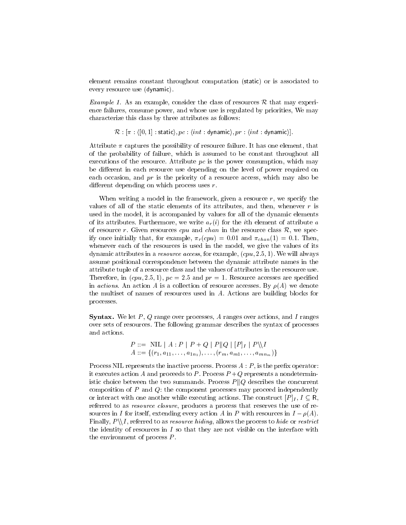element remains constant throughout computation (static) or is associated to every resource use (dynamic).

Example 1. As an example, consider the class of resources  $\mathcal R$  that may experience failures, consume power, and whose use is regulated by priorities, We may characterize this class by three attributes as follows:

$$
\mathcal{R} : [\pi : \langle [0,1] : \textsf{static} \rangle, pc : \langle int : \textsf{dynamic} \rangle, pr : \langle int : \textsf{dynamic} \rangle].
$$

Attribute  $\pi$  captures the possibility of resource failure. It has one element, that of the probability of failure, which is assumed to be constant throughout all executions of the resource. Attribute  $pc$  is the power consumption, which may be different in each resource use depending on the level of power required on each occasion, and pr is the priority of a resource access, which may also be different depending on which process uses  $r$ .

When writing a model in the framework, given a resource  $r$ , we specify the values of all of the static elements of its attributes, and then, whenever  $r$  is used in the model, it is accompanied by values for all of the dynamic elements of its attributes. Furthermore, we write  $a_r(i)$  for the *i*th element of attribute a of resource r. Given resources cpu and chan in the resource class  $\mathcal{R}$ , we specify once initially that, for example,  $\pi_r(cpu)=0.01$  and  $\pi_{chan}(1) = 0.1$ . Then, whenever each of the resources is used in the model, we give the values of its dynamic attributes in a resource access, for example,  $(cpu, 2.5, 1)$ . We will always assume positional correspondence between the dynamic attribute names in the attribute tuple of a resource class and the values of attributes in the resource use. Therefore, in  $cpu, 2.5, 1)$ ,  $pc = 2.5$  and  $pr = 1$ . Resource accesses are specified in actions. An action A is a collection of resource accesses. By  $\rho(A)$  we denote the multiset of names of resources used in A. Actions are building blocks for processes.

**Syntax.** We let P, Q range over processes, A ranges over actions, and I ranges over sets of resources. The following grammar describes the syntax of processes and actions.

$$
P ::= \text{ NIL } | A : P | P + Q | P || Q | [P]_I | P \setminus I
$$
  

$$
A ::= \{ (r_1, a_{11}, \ldots, a_{1n_1}), \ldots, (r_m, a_{m1}, \ldots, a_{mn_m}) \}
$$

Process NIL represents the inactive process. Process  $A : P$ , is the prefix operator: it executes action A and proceeds to P. Process  $P+Q$  represents a nondeterministic choice between the two summands. Process  $P||Q$  describes the concurrent composition of  $P$  and  $Q$ : the component processes may proceed independently or interact with one another while executing actions. The construct  $[P]_I, I \subseteq \mathsf{R}$ , referred to as resource closure, produces a process that reserves the use of resources in I for itself, extending every action A in P with resources in  $I - \rho(A)$ . Finally,  $P \setminus I$ , referred to as *resource hiding*, allows the process to hide or *restrict* the identity of resources in  $I$  so that they are not visible on the interface with the environment of process  $P$ .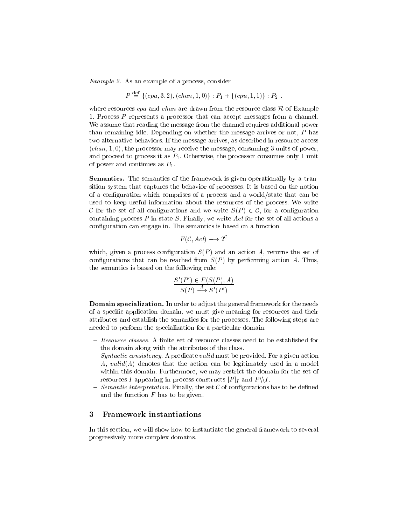Example 2. As an example of a process, consider

$$
P \stackrel{\text{def}}{=} \{(cpu, 3, 2), (chan, 1, 0)\} : P_1 + \{(cpu, 1, 1)\} : P_2
$$

where resources  $cpu$  and  $chan$  are drawn from the resource class  $R$  of Example 1. Process P represents a processor that can accept messages from a channel. We assume that reading the message from the channel requires additional power than remaining idle. Depending on whether the message arrives or not,  $P$  has two alternative behaviors. If the message arrives, as described in resource access  $(char, 1, 0)$ , the processor may receive the message, consuming 3 units of power, and proceed to process it as  $P_1$ . Otherwise, the processor consumes only 1 unit of power and continues as  $P_2$ .

Semantics. The semantics of the framework is given operationally by a transition system that captures the behavior of processes. It is based on the notion of a conguration which comprises of a process and a world/state that can be used to keep useful information about the resources of the process. We write  $\mathcal C$  for the set of all configurations and we write  $\mathcal S(F) \in \mathcal C$ , for a configuration containing process  $P$  in state  $S$ . Finally, we write Act for the set of all actions a configuration can engage in. The semantics is based on a function

$$
F(\mathcal{C}, Act) \longrightarrow 2^{\mathcal{C}}
$$

which, given a process configuration  $S(P)$  and an action A, returns the set of configurations that can be reached from  $S(P)$  by performing action A. Thus, the semantics is based on the following rule:

$$
\frac{S'(P') \in F(S(P), A)}{S(P) \xrightarrow{A} S'(P')}
$$

Domain specialization. In order to adjust the general framework for the needs of a specific application domain, we must give meaning for resources and their attributes and establish the semantics for the processes. The following steps are needed to perform the specialization for a particular domain.

- $-$  Resource classes. A finite set of resource classes need to be established for the domain along with the attributes of the class.
- ${ Syntactic consistency}$ . A predicate valid must be provided. For a given action A,  $valid(A)$  denotes that the action can be legitimately used in a model within this domain. Furthermore, we may restrict the domain for the set of resources I appearing in process constructs  $[P]_I$  and  $P \setminus I$ .
- $-$  Semantic interpretation. Finally, the set  $\mathcal C$  of configurations has to be defined and the function  $F$  has to be given.

### <sup>3</sup> Framework instantiations

In this section, we will show how to instantiate the general framework to several progressively more complex domains.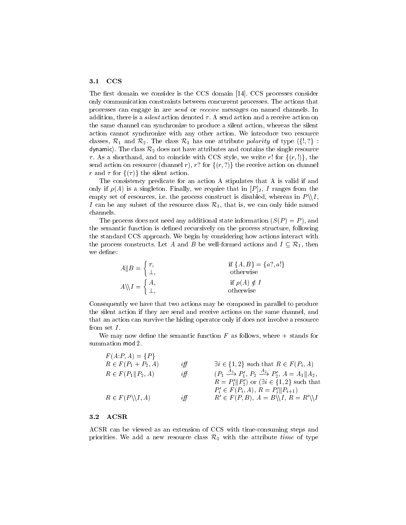The first domain we consider is the CCS domain [14]. CCS processes consider only communication constraints between concurrent processes. The actions that processes can engage in are send or receive messages on named channels. In addition, there is a *silent* action denoted  $\tau$ . A send action and a receive action on the same channel can synchronize to produce a silent action, whereas the silent action cannot synchronize with any other action. We introduce two resource classes,  $\mathcal{R}_1$  and  $\mathcal{R}_2$ . The class  $\mathcal{R}_1$  has one attribute *polarity* of type  $\{\{\cdot,\cdot\}\}$ : dynamic). The class  $\mathcal{R}_2$  does not have attributes and contains the single resource  $\tau$ . As a shorthand, and to coincide with CCS style, we write r! for  $\{(r,!) \}$ , the send action on resource (channel r), r? for  $\{(r, ?)\}\$  the receive action on channel r and  $\tau$  for  $\{(\tau)\}\$  the silent action.

The consistency predicate for an action A stipulates that A is valid if and only if  $\rho(A)$  is a singleton. Finally, we require that in  $[P]_I$ , I ranges from the empty set of resources, i.e. the process construct is disabled, whereas in  $P \setminus I$ I can be any subset of the resource class  $\mathcal{R}_1$ , that is, we can only hide named channels.

The process does not need any additional state information  $(S(P) = P)$ , and the semantic function is defined recursively on the process structure, following the standard CCS approach. We be a state  $\alpha$  is considered in the state interaction interactions in  $\alpha$ the semantic function is defined recursively on the process structure, following<br>the standard CCS approach. We begin by considering how actions interact with<br>the process constructs. Let A and B be well-formed actions and we define:

$$
A \parallel B = \begin{cases} \tau, & \text{if } \{A, B\} = \{a?, a!\} \\ \bot, & \text{otherwise} \end{cases}
$$
  

$$
A \setminus I = \begin{cases} A, & \text{if } \rho(A) \notin I \\ \bot, & \text{otherwise} \end{cases}
$$

Consequently we have that two actions may be composed in parallel to produce the silent action if they are send and receive actions on the same channel, and that an action can survive the hiding operator only if does not involve a resource from set  $I$ .

We may now define the semantic function  $F$  as follows, where  $+$  stands for summation mod 2.

| $F(A:P, A) = \{P\}$      | $\exists i \in \{1, 2\}$ such that $R \in F(P_i, A)$ |                                                                                                                                                                                                                                                                                                                                                                                                                                                                                                                                                                                                                                                                                                                                                                                                                                                                                                                                                                                                                                                                                                                                                                                                                                                                         |
|--------------------------|------------------------------------------------------|-------------------------------------------------------------------------------------------------------------------------------------------------------------------------------------------------------------------------------------------------------------------------------------------------------------------------------------------------------------------------------------------------------------------------------------------------------------------------------------------------------------------------------------------------------------------------------------------------------------------------------------------------------------------------------------------------------------------------------------------------------------------------------------------------------------------------------------------------------------------------------------------------------------------------------------------------------------------------------------------------------------------------------------------------------------------------------------------------------------------------------------------------------------------------------------------------------------------------------------------------------------------------|
| $R \in F(P_1   P_2, A)$  | $\forall f$                                          | $\exists i \in \{1, 2\}$ such that $R \in F(P_i, A)$                                                                                                                                                                                                                                                                                                                                                                                                                                                                                                                                                                                                                                                                                                                                                                                                                                                                                                                                                                                                                                                                                                                                                                                                                    |
| $R \in F(P_1    P_2, A)$ | $\forall f$                                          | $(P_1 \xrightarrow{A_1} P_1', P_2 \xrightarrow{A_2} P_2', A = A_1    A_2,$<br>\n $R = P_1'    P_2' \text{ or } (\exists i \in \{1, 2\} \text{ such that}$<br>\n $P_i' \in F(P_i, A), R = P_i'    P_{i+1}$<br>\n $R' \in F(P, B), A = B \setminus \{I, R = R' \setminus \{I\} \text{ such that } P_i' \in F(P, B), A = B \setminus \{I, R = R' \setminus \{I\} \text{ such that } P_i' \in F(P, B), A = B \setminus \{I, R = R' \setminus \{I\} \text{ such that } P_i' \in F(P, B) \text{ such that } P_i' \in F(P, B) \text{ such that } P_i' \in F(P, B) \text{ such that } P_i' \in F(P, B) \text{ such that } P_i' \in F(P, B) \text{ such that } P_i' \in F(P, B) \text{ such that } P_i' \in F(P, B) \text{ such that } P_i' \in F(P, B) \text{ such that } P_i' \in F(P, B) \text{ such that } P_i' \in F(P, B) \text{ such that } P_i' \in F(P, B) \text{ such that } P_i' \in F(P, B) \text{ such that } P_i' \in F(P, B) \text{ such that } P_i' \in F(P, B) \text{ such that } P_i' \in F(P, B) \text{ such that } P_i' \in F(P, B) \text{ such that } P_i' \in F(P, B) \text{ such that } P_i' \in F(P, B) \text{ such that } P_i' \in F(P, B) \text{ such that } P_i' \in F(P, B) \text{ such that } P_i' \in F(P, B) \text{ such that } P_i' \in F(P, B)$ |

ACSR can be viewed as an extension of CCS with time-consuming steps and priorities. We add a new resource class  $\mathcal{R}_3$  with the attribute time of type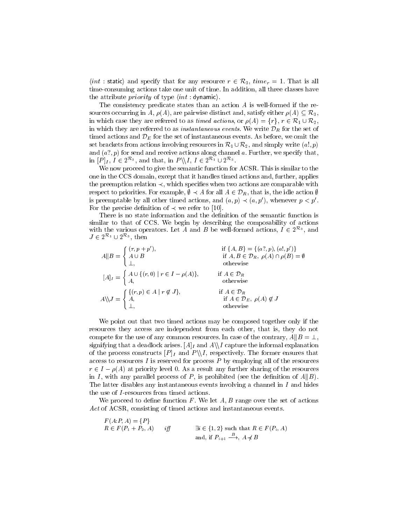$\langle int : \text{static} \rangle$  and specify that for any resource  $r \in \mathcal{R}_3$ ,  $time_r = 1$ . That is all time-consuming actions take one unit of time. In addition, all three classes have the attribute *priority* of type  $\langle int :$  dynamic).

The consistency predicate states than an action  $A$  is well-formed if the resources occurring in A,  $\rho(A)$ , are pairwise distinct and, satisfy either  $\rho(A) \subseteq \mathcal{R}_3$ , in which case they are referred to as timed actions, or  $\rho(A) = \{r\}, r \in \mathcal{R}_1 \cup \mathcal{R}_2$ , in which they are referred to as *instantaneous events*. We write  $\mathcal{D}_R$  for the set of timed actions and  $\mathcal{D}_E$  for the set of instantaneous events. As before, we omit the set brackets from actions involving resources in  $\mathcal{R}_1 \cup \mathcal{R}_2$ , and simply write  $(a!, p)$ and  $(a?, p)$  for send and receive actions along channel a. Further, we specify that, in  $[P]_I, I \in 2^{\mathcal{R}_3}$ , and that, in  $P \setminus I, I \in 2^{\mathcal{R}_1} \cup 2^{\mathcal{R}_3}$ .

We now proceed to give the semantic function for ACSR. This is similar to the one in the CCS domain, except that it handles timed actions and, further, applies the preemption relation  $\prec$ , which specifies when two actions are comparable with respect to priorities. For example,  $\emptyset \prec A$  for all  $A \in \mathcal{D}_R$ , that is, the idle action  $\emptyset$ is preemptable by all other timed actions, and  $(a, p) \prec (a, p')$ , whenever  $p < p'$ . For the precise definition of  $\prec$  we refer to [10].

There is no state information and the definition of the semantic function is similar to that of CCS. We begin by describing the composability of actions with the various operators. Let A and B be well-formed actions,  $I \in 2^{\mathcal{R}_3}$ , and  $J \in 2^{\mathcal{R}_1} \cup 2^{\mathcal{R}_3}$ , then

 $A\|B = \begin{cases} (\tau, p + p'), \\ A \cup B \end{cases}$ if  $\{A, B\} = \{(a?, p), (a', p')\}$ if  $A, B \in \mathcal{D}_R$ ,  $\rho(A) \cap \rho(B) = \emptyset$  $\perp$ , otherwise  $[A]_I = \begin{cases} A \cup \{(r, 0) \mid r \in I - \rho(A)\}, & \text{if } A \in \mathcal{D}_R, \\ A \cup \{(r, 0) \mid r \in I - \rho(A)\}, & \text{if } A \in \mathcal{D}_R. \end{cases}$ A; otherwise and the contract of the contract of the contract of the contract of the contract of the contract o  $A\setminus J = \begin{cases} \{(r,p) \in A \mid r \ A. \end{cases}$  $f(x, b) \mid r \in I - p(A)f$ , if  $A \in B_R$ <br>  $f(r, p) \in A \mid r \notin J$ , if  $A \in \mathcal{D}_R$  $\{(r, p) \in A \mid r \notin J\},$ <br>  $A, \quad \text{if } A \in \mathcal{D}_R$ <br>  $A, \quad \text{if } A \in \mathcal{D}_E, \ \rho(A) \notin J$  $\perp$ . Otherwise

We point out that two timed actions may be composed together only if the resources they access are independent from each other, that is, they do not compete for the use of any common resources. In case of the contrary,  $A||B = \perp$ , signifying that a deadlock arises.  $[A]_I$  and  $A \setminus I$  capture the informal explanation of the process constructs  $[P]_I$  and  $P \setminus I$ , respectively. The former ensures that access to resources  $I$  is reserved for process  $P$  by employing all of the resources  $r \in I - \rho(A)$  at priority level 0. As a result any further sharing of the resources in I, with any parallel process of P, is prohibited (see the definition of  $A||B$ ). The latter disables any instantaneous events involving a channel in I and hides the use of *I*-resources from timed actions.

We proceed to define function  $F$ . We let  $A, B$  range over the set of actions Act of ACSR, consisting of timed actions and instantaneous events.

$$
F(A:P, A) = \{P\}
$$
  
\n
$$
R \in F(P_1 + P_2, A)
$$
 iff 
$$
\exists i \in \{1, 2\} \text{ such that } R \in F(P_i, A)
$$
  
\nand, if  $P_{i+1} \xrightarrow{B} A \nless B$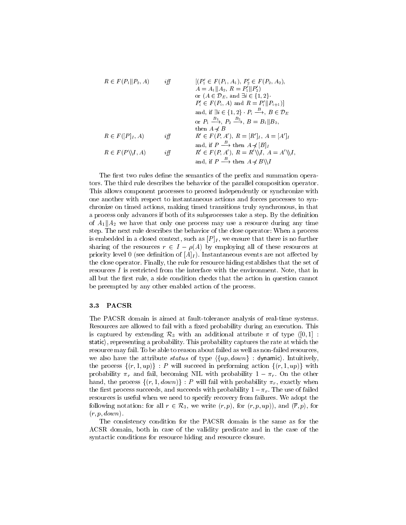$$
R \in F(P_1 \| P_2, A) \qquad \text{iff} \qquad \left[ (P_1' \in F(P_1, A_1), P_2' \in F(P_2, A_2), A = A_1 \| A_2, R = P_1' \| P_2' \right]
$$
\n
$$
\text{or } (A \in \mathcal{D}_E, \text{ and } \exists i \in \{1, 2\} \cdot
$$
\n
$$
P_i' \in F(P_i, A) \text{ and } R = P_i' \| P_{i+1} \text{)} \right]
$$
\n
$$
\text{and, if } \exists i \in \{1, 2\} \cdot P_i \xrightarrow{B} B, B \in \mathcal{D}_E
$$
\n
$$
\text{or } P_1 \xrightarrow{B_1} P_2 \xrightarrow{B_2} B = B_1 \| B_2,
$$
\n
$$
\text{then } A \prec B
$$
\n
$$
R' \in F(P, A'), R = [R']_I, A = [A']_I
$$
\n
$$
\text{and, if } P \xrightarrow{B} \text{ then } A \prec [B]_I
$$
\n
$$
R' \in F(P, A'), R = R' \setminus I, A = A' \setminus I,
$$
\n
$$
\text{and, if } P \xrightarrow{B} \text{ then } A \prec B \setminus I
$$
\n
$$
\text{and, if } P \xrightarrow{B} \text{ then } A \prec B \setminus I
$$

The first two rules define the semantics of the prefix and summation operators. The third rule describes the behavior of the parallel composition operator. This allows component processes to proceed independently or synchronize with one another with respect to instantaneous actions and forces processes to synchronize on timed actions, making timed transitions truly synchronous, in that a process only advances if both of its subprocesses take a step. By the definition of  $A_1||A_2$  we have that only one process may use a resource during any time step. The next rule describes the behavior of the close operator: When a process is embedded in a closed context, such as  $[P]_I$ , we ensure that there is no further sharing of the resources  $r \in I - \rho(A)$  by employing all of these resources at priority level 0 (see definition of  $[A]_I$ ). Instantaneous events are not affected by the close operator. Finally, the rule for resource hiding establishes that the set of resources  $I$  is restricted from the interface with the environment. Note, that in all but the first rule, a side condition checks that the action in question cannot be preempted by any other enabled action of the process.

#### 3.3 PACSR

The PACSR domain is aimed at fault-tolerance analysis of real-time systems. Resources are allowed to fail with a fixed probability during an execution. This is captured by extending  $\mathcal{R}_3$  with an additional attribute  $\pi$  of type  $\langle [0, 1]$  : static), representing a probability. This probability captures the rate at which the resource may fail. To be able to reason about failed as well as non-failed resources, we also have the attribute *status* of type  $\langle \{up, down\} :$  dynamic). Intuitively, the process  $\{(r,1,up)\}$ : P will succeed in performing action  $\{(r,1,up)\}$  with probability  $\pi_r$  and fail, becoming NIL with probability  $1 - \pi_r$ . On the other hand, the process  $\{(r, 1, down)\}$ : P will fail with probability  $\pi_r$ , exactly when the first process succeeds, and succeeds with probability  $1-\pi_r$ . The use of failed resources is useful when we need to specify recovery from failures. We adopt the following notation: for all  $r \in \mathcal{R}_3$ , we write  $(r, p)$ , for  $(r, p, up)$ , and  $(\overline{r}, p)$ , for  $(r, p, down)$ .

The consistency condition for the PACSR domain is the same as for the ACSR domain, both in case of the validity predicate and in the case of the syntactic conditions for resource hiding and resource closure.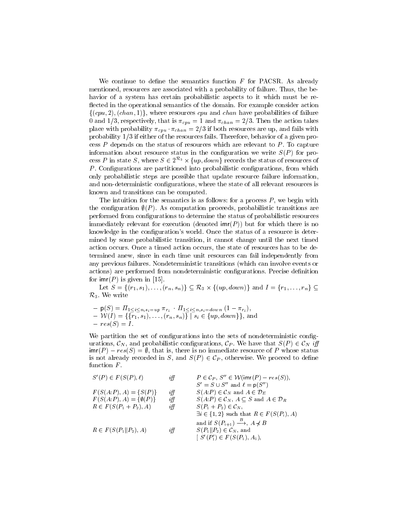We continue to define the semantics function  $F$  for PACSR. As already mentioned, resources are associated with a probability of failure. Thus, the behavior of a system has certain probabilistic aspects to it which must be re flected in the operational semantics of the domain. For example consider action  $\{(cpu, 2), (chan, 1)\}\$ , where resources cpu and chan have probabilities of failure 0 and 1/3, respectively, that is  $\pi_{cpu} = 1$  and  $\pi_{chan} = 2/3$ . Then the action takes place with probability  $\pi_{cpu} \cdot \pi_{chan} = 2/3$  if both resources are up, and fails with probability  $1/3$  if either of the resources fails. Therefore, behavior of a given process  $P$  depends on the status of resources which are relevant to  $P$ . To capture information about resource status in the configuration we write  $S(P)$  for process P depends on the status of resources which are relevant to P. To capture<br>information about resource status in the configuration we write  $S(P)$  for pro-<br>cess P in state S, where  $S \in 2^{\mathcal{R}_3} \times \{up, down\}$  records the s  $P$ . Configurations are partitioned into probabilistic configurations, from which only probabilistic steps are possible that update resource failure information, and non-deterministic configurations, where the state of all relevant resources is known and transitions can be computed.

The intuition for the semantics is as follows: for a process  $P$ , we begin with the configuration  $\mathcal{N}(P)$ . As computation proceeds, probabilistic transitions are performed from congurations to determine the status of probabilistic resources immediately relevant for execution (denoted  $\text{imr}(P)$ ) but for which there is no knowledge in the configuration's world. Once the status of a resource is determined by some probabilistic transition, it cannot change until the next timed action occurs. Once a timed action occurs, the state of resources has to be determined anew, since in each time unit resources can fail independently from any previous failures. Nondeterministic transitions (which can involve events or actions) are performed from nondeterministic configurations. Precise definition for  $\text{im } r(P)$  is given in [15]. ions) are performed from nondeterministic configurations. Precise definition<br>  $\text{imr}(P)$  is given in [15].<br>
Let  $S = \{(r_1, s_1), \ldots, (r_n, s_n)\} \subset \mathcal{R}_3 \times \{(up, down)\}$  and  $I = \{r_1, \ldots, r_n\} \subset$ 

 $\mathcal{R}_3$ . We write

- ${}^{\dagger}$   ${}^{\dagger}$   $\rho(S) = II_1 \leq i \leq n, s_i = up \pi_{r_i}$   ${}^{\dagger}$   $II_1 \leq i \leq n, s_i = down \ (1 \pi_{r_i}),$  ${} - \mathsf{p}(S) = \Pi_{1 \leq i \leq n, s_i = up} \pi_{r_i} \cdot \Pi_{1 \leq i \leq n, s_i = down} (1 - \pi_{r_i}),$ <br>  ${} - \mathcal{W}(I) = \{ \{r_1, s_1), \ldots, (r_n, s_n) \} \mid s_i \in \{up, down\} \},$  and
- $= res(S) = I.$

We partition the set of configurations into the sets of nondeterministic config-We partition the set of configurations into the sets of nondeterministic configurations,  $\mathcal{C}_N$ , and probabilistic configurations,  $\mathcal{C}_P$ . We have that  $S(P) \in \mathcal{C}_N$  iff  $imr(P) - res(S) = \emptyset$ , that is, there is no immediate resource of P whose status urations,  $\mathcal{C}_N$ , and probabilistic configurations,  $\mathcal{C}_P$ . We have that  $S(P) \in \mathcal{C}_N$  *iff*  $\text{imr}(P) - res(S) = \emptyset$ , that is, there is no immediate resource of P whose status is not already recorded in S, and  $S(P) \in \mathcal$ function  $F$ . inction F.<br>  $S'(P) \in F(S(P), \ell)$  iff  $P \in C_P$ ,  $S'' \in \mathcal{W}(\text{imr}(P) - res(S)),$ 

| $S'(P) \in F(S(P), \ell)$          | $i$ ff | $P \in C_P$ , $S'' \in \mathcal{W}(\text{imr}(P) - res(S)),$           |
|------------------------------------|--------|------------------------------------------------------------------------|
|                                    |        | $S' = S \cup S''$ and $\ell = p(S'')$                                  |
| $F(S(A:P), A) = \{S(P)\}\$         | $i$ ff | $S(A:P) \in \mathcal{C}_N$ and $A \in \mathcal{D}_E$                   |
| $F(S(A:P), A) = \{\emptyset(P)\}\$ | iff    | $S(A:P) \in \mathcal{C}_N$ , $A \subseteq S$ and $A \in \mathcal{D}_R$ |
| $R \in F(S(P_1 + P_2), A)$         | if f   | $S(P_1+P_2)\in\mathcal{C}_N$ ,                                         |
|                                    |        | $\exists i \in \{1,2\}$ such that $R \in F(S(P_i), A)$                 |
|                                    |        | and if $S(P_{i+1}) \xrightarrow{B} A \nless B$                         |
| $R \in F(S(P_1 \  P_2), A)$        | $i$ ff | $S(P_1  P_2) \in \mathcal{C}_N$ , and                                  |
|                                    |        | $S'(P'_1) \in F(S(P_1), A_1),$                                         |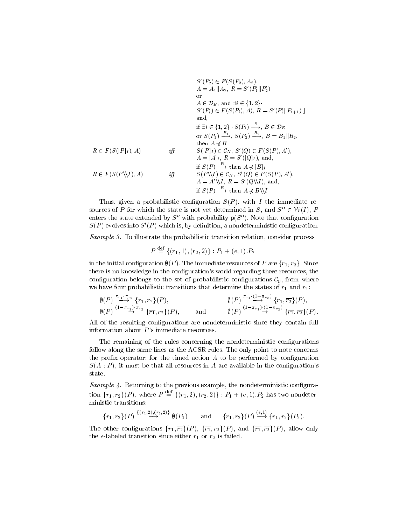$$
S'(P'_2) \in F(S(P_2), A_2),
$$
  
\n
$$
A = A_1 || A_2, R = S'(P'_1 || P'_2)
$$
  
\nor  
\n
$$
A \in \mathcal{D}_E
$$
, and  $\exists i \in \{1, 2\}$ .  
\n
$$
S'(P'_i) \in F(S(P_i), A), R = S'(P'_i || P_{i+1})
$$
]  
\nand,  
\nif  $\exists i \in \{1, 2\} \cdot S(P_i) \xrightarrow{B} B, B \in \mathcal{D}_E$   
\nor  $S(P_1) \xrightarrow{B_1} S(P_2) \xrightarrow{B_2} B = B_1 || B_2$ ,  
\nthen  $A \prec B$   
\n
$$
S([P]_I) \in C_N, S'(Q) \in F(S(P), A'),
$$
  
\n
$$
A = [A]_I, R = S'([Q]_I), \text{ and},
$$
  
\nif  $S(P) \xrightarrow{B} \text{ then } A \prec B | I$   
\n
$$
S(P \setminus I) \in C_N, S'(Q) \in F(S(P), A'),
$$
  
\n
$$
A = A' \setminus I, R = S'(Q \setminus I), \text{ and},
$$
  
\nif  $S(P) \xrightarrow{B} \text{ then } A \prec B \setminus I$ 

Thus, given a probabilistic conguration S(P ), with Ithe immediate re-Thus, given a probabilistic configuration  $S(P)$ , with I the immediate resources of P for which the state is not yet determined in S, and  $S'' \in \mathcal{W}(I)$ , P enters the state extended by  $S''$  with probability  $p(S'')$ . Note that configuration  $S(P)$  evolves into  $S'(P)$  which is, by definition, a nondeterministic configuration.

Example 3. To illustrate the probabilistic transition relation, consider process

 $P = \{(r_1, 1), (r_2, 2)\} : P_1 + (e, 1)P_2$ 

in the initial configuration  $\emptyset(P)$ . The immediate resources of P are  $\{r_1, r_2\}$ . Since there is no knowledge in the configuration's world regarding these resources, the configuration belongs to the set of probabilistic configurations  $\mathcal{C}_p$ , from where we have four probabilistic transitions that determine the states of  $r_1$  and  $r_2$ :

$$
\varnothing(P) \stackrel{\pi_{r_1} \cdot \pi_{r_2}}{\longrightarrow} \{r_1, r_2\}(P), \qquad \qquad \varnothing(P) \stackrel{\pi_{r_1} \cdot (1 - \pi_{r_2})}{\longrightarrow} \{r_1, \overline{r_2}\}(P),
$$
  

$$
\varnothing(P) \stackrel{(1 - \pi_{r_1}) \cdot \pi_{r_2}}{\longrightarrow} \{\overline{r_1}, r_2\}(P), \qquad \text{and} \qquad \varnothing(P) \stackrel{(1 - \pi_{r_1}) \cdot (1 - \pi_{r_2})}{\longrightarrow} \{\overline{r_1}, \overline{r_2}\}(P).
$$

All of the resulting configurations are nondeterministic since they contain full information about  $P$ 's immediate resources.

The remaining of the rules concerning the nondeterministic configurations follow along the same lines as the ACSR rules. The only point to note concerns the prefix operator: for the timed action  $A$  to be performed by configuration  $S(A : P)$ , it must be that all resources in A are available in the configuration's state.

*Example 4.* Returning to the previous example, the nondeterministic configuration  $\{r_1, r_2\}(P)$ , where  $P = \{(r_1, 2), (r_2, 2)\} : P_1 + (e, 1).P_2$  has two nondeter- $\stackrel{(e,1)}{\longrightarrow} \{r_1, r_2\}(P_2).$ ministic transitions:

$$
\{r_1, r_2\}(P) \xrightarrow{\{(r_1, 2), (r_2, 2)\}} \emptyset(P_1) \quad \text{and} \quad \{r_1, r_2\}(P) \xrightarrow{(e, 1)} \{r_1, r_2\}(P_2).
$$

The other configurations  $\{r_1, \overline{r_2}\}(P)$ ,  $\{\overline{r_1}, r_2\}(P)$ , and  $\{\overline{r_1}, \overline{r_2}\}(P)$ , allow only the e-labeled transition since either  $r_1$  or  $r_2$  is failed.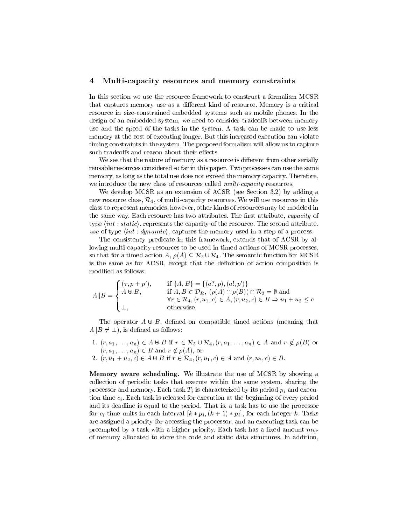#### <sup>4</sup> Multi-capacity resources and memory constraints

In this section we use the resource framework to construct a formalism MCSR that captures memory use as a different kind of resource. Memory is a critical resource in size-constrained embedded systems such as mobile phones. In the design of an embedded system, we need to consider tradeoffs between memory use and the speed of the tasks in the system. A task can be made to use less memory at the cost of executing longer. But this increased execution can violate timing constraints in the system. The proposed formalism will allow us to capture such tradeoffs and reason about their effects.

We see that the nature of memory as a resource is different from other serially reusable resources considered so far in this paper. Two processes can use the same memory, as long as the total use does not exceed the memory capacity. Therefore, we introduce the new class of resources called *multi-capacity* resources.

We develop MCSR as an extension of ACSR (see Section 3.2) by adding a new resource class,  $\mathcal{R}_4$ , of multi-capacity resources. We will use resources in this class to represent memories, however, other kinds of resources may be modeled in the same way. Each resource has two attributes. The first attribute, *capacity* of type  $\langle int : static \rangle$ , represents the capacity of the resource. The second attribute, use of type  $\langle int : dynamic \rangle$ , captures the memory used in a step of a process.

The consistency predicate in this framework, extends that of ACSR by allowing multi-capacity resources to be used in timed actions of MCSR processes. so that for a timed action A,  $\rho(A) \subseteq R_3 \cup R_4$ . The semantic function for MCSR is the same as for ACSR, except that the definition of action composition is

$$
A||B = \begin{cases} (\tau, p + p'), & \text{if } \{A, B\} = \{(a?, p), (a', p')\} \\ A \uplus B, & \text{if } A, B \in \mathcal{D}_R, \ (\rho(A) \cap \rho(B)) \cap \mathcal{R}_3 = \emptyset \text{ and } \\ \forall r \in \mathcal{R}_4, (r, u_1, c) \in A, (r, u_2, c) \in B \Rightarrow u_1 + u_2 \le c \\ \perp, & \text{otherwise} \end{cases}
$$

The operator  $A \oplus B$ , defined on compatible timed actions (meaning that  $A||B \neq \perp$ , is defined as follows:  $1||B \neq \bot$ , is defined as follows:<br>
1.  $(r, a_1, \ldots, a_n) \in A \oplus B$  if  $r \in \mathcal{R}_3 \cup \mathcal{R}_4$ ,  $(r, a_1, \ldots, a_n) \in A$  and  $r \notin \rho(B)$  or

- $(r, a_1, \ldots, a_n) \in B$  and  $r \notin \rho(A)$ , or 1.  $(r, a_1, ..., a_n) \in A \oplus B$  if  $r \in \mathcal{R}_3 \cup \mathcal{R}_4$ ,  $(r, a_1, ..., a_n) \in A$  and  $r \notin \rho(B)$ <br>  $(r, a_1, ..., a_n) \in B$  and  $r \notin \rho(A)$ , or<br>
2.  $(r, u_1 + u_2, c) \in A \oplus B$  if  $r \in \mathcal{R}_4$ ,  $(r, u_1, c) \in A$  and  $(r, u_2, c) \in B$ .
- 

Memory aware scheduling. We illustrate the use of MCSR by showing a collection of periodic tasks that execute within the same system, sharing the processor and memory. Each task  $T_i$  is characterized by its period  $p_i$  and execution time  $c_i$ . Each task is released for execution at the beginning of every period and its deadline is equal to the period. That is, a task has to use the processor for  $c_i$  time units in each interval  $[k * p_i, (k + 1) * p_i]$ , for each integer k. Tasks are assigned a priority for accessing the processor, and an executing task can be preempted by a task with a higher priority. Each task has a fixed amount  $m_{i,c}$ of memory allocated to store the code and static data structures. In addition,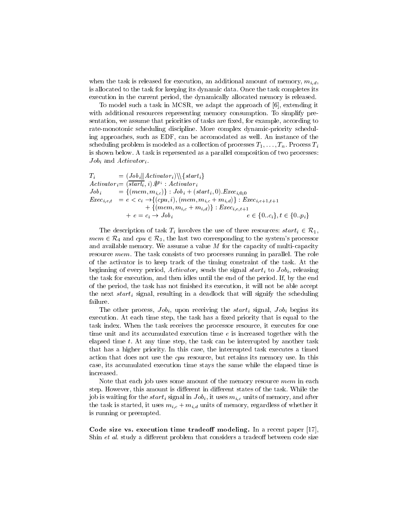when the task is released for execution, an additional amount of memory,  $m_{i,d}$ , is allocated to the task for keeping its dynamic data. Once the task completes its execution in the current period, the dynamically allocated memory is released.

To model such a task in MCSR, we adapt the approach of [6], extending it with additional resources representing memory consumption. To simplify presentation, we assume that priorities of tasks are fixed, for example, according to rate-monotonic scheduling discipline. More complex dynamic-priority scheduling approaches, such as EDF, can be accomodated as well. An instance of the scheduling problem is modeled as a collection of processes  $T_1,\ldots,T_n$ . Process  $T_i$ is shown below. A task is represented as a parallel composition of two processes:  $Job_i$  and  $Activator_i$ .

$$
T_i = (Job_i || Activation_i) \setminus \{start_i\} \nActivator_i = (start_i, i) . 0^{p_i} : Activation_i \nJob_i = \{(mem, m_{i,c})\} : Job_i + (start_i, 0).Exec_{i,0,0} \nExec_{i,e,t} = e < c_i \rightarrow \{(cpu, i), (mem, m_{i,c} + m_{i,d})\} :Exec_{i,e,t+1, t+1} \n+ \{(mem, m_{i,c} + m_{i,d})\} :Exec_{i,e,t+1} \n+ e = c_i \rightarrow Job_i \qquad e \in \{0..c_i\}, t \in \{0..p_i\}
$$

The description of task  $T_i$  involves the use of three resources:  $start_i \in \mathcal{R}_1$ ,  $mem \in \mathcal{R}_4$  and  $cpu \in \mathcal{R}_3$ , the last two corresponding to the system's processor and available memory. We assume a value  $M$  for the capacity of multi-capacity resource mem. The task consists of two processes running in parallel. The role of the activator is to keep track of the timing constraint of the task. At the beginning of every period,  $Activator_i$  sends the signal start<sub>i</sub> to  $Job_i$ , releasing the task for execution, and then idles until the end of the period. If, by the end of the period, the task has not finished its execution, it will not be able accept the next start, signal, resulting in a deadlock that will signify the scheduling failure.

The other process,  $Job_i$ , upon receiving the start<sub>i</sub> signal,  $Job_i$  begins its execution. At each time step, the task has a fixed priority that is equal to the task index. When the task receives the processor resource, it executes for one time unit and its accumulated execution time  $e$  is increased together with the elapsed time  $t$ . At any time step, the task can be interrupted by another task that has a higher priority. In this case, the interrupted task executes a timed action that does not use the cpu resource, but retains its memory use. In this case, its accumulated execution time stays the same while the elapsed time is

Note that each job uses some amount of the memory resource mem in each step. However, this amount is different in different states of the task. While the job is waiting for the start<sub>i</sub> signal in  $Job_i$ , it uses  $m_{i,c}$  units of memory, and after the task is started, it uses  $m_{i,c} + m_{i,d}$  units of memory, regardless of whether it is running or preempted.

Code size vs. execution time tradeoff modeling. In a recent paper  $[17]$ , Shin et al. study a different problem that considers a tradeoff between code size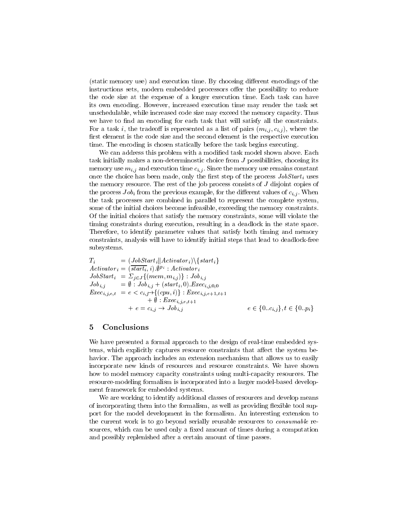(static memory use) and execution time. By choosing different encodings of the instructions sets, modern embedded processors offer the possibility to reduce the code size at the expense of a longer execution time. Each task can have its own encoding. However, increased execution time may render the task set unschedulable, while increased code size may exceed the memory capacity. Thus we have to find an encoding for each task that will satisfy all the constraints. For a task i, the tradeoff is represented as a list of pairs  $(m_{i,j}, c_{i,j})$ , where the first element is the code size and the second element is the respective execution time. The encoding is chosen statically before the task begins executing.

We can address this problem with a modified task model shown above. Each task initially makes a non-determinostic choice from J possibilities, choosing its memory use  $m_{i,j}$  and execution time  $c_{i,j}$ . Since the memory use remains constant once the choice has been made, only the rst step of the process JobStart i uses the memory resource. The rest of the job process consists of J disjoint copies of the process  $Job_i$  from the previous example, for the different values of  $c_{i,j}$ . When the task processes are combined in parallel to represent the complete system, some of the initial choices become infeasible, exceeding the memory constraints. Of the initial choices that satisfy the memory constraints, some will violate the timing constraints during execution, resulting in a deadlock in the state space. Therefore, to identify parameter values that satisfy both timing and memory constraints, analysis will have to identify initial steps that lead to deadlock-free subsystems.

$$
T_i = (JobStart_i || Activeator_i) \setminus \{start_i\}
$$
  
\n
$$
Activator_i = (start_i, i) . \emptyset^{p_i} : Activeator_i
$$
  
\n
$$
JobStart_i = \sum_{j \in J} \{ (mem, m_{i,j}) \} : Job_{i,j}
$$
  
\n
$$
Job_{i,j} = \emptyset : Job_{i,j} + (start_i, 0).Exec_{i,j,0,0}
$$
  
\n
$$
Exec_{i,j,e,t} = e < c_{i,j} \setminus \{(cpu, i) \} :Exec_{i,j,e+1,t+1}
$$
  
\n
$$
+ \emptyset :Exec_{i,j,e,t+1}
$$
  
\n
$$
+ e = c_{i,j} \rightarrow Job_{i,j}
$$
  
\n
$$
e \in \{0..c_{i,j}\}, t \in \{0..p_i\}
$$

### <sup>5</sup> Conclusions

We have presented a formal approach to the design of real-time embedded systems, which explicitly captures resource constraints that affect the system behavior. The approach includes an extension mechanism that allows us to easily incorporate new kinds of resources and resource constraints. We have shown how to model memory capacity constraints using multi-capacity resources. The resource-modeling formalism is incorporated into a larger model-based development framework for embedded systems.

We are working to identify additional classes of resources and develop means of incorporating them into the formalism, as well as providing flexible tool support for the model development in the formalism. An interesting extension to the current work is to go beyond serially reusable resources to consumable resources, which can be used only a fixed amount of times during a computation and possibly replenished after a certain amount of time passes.